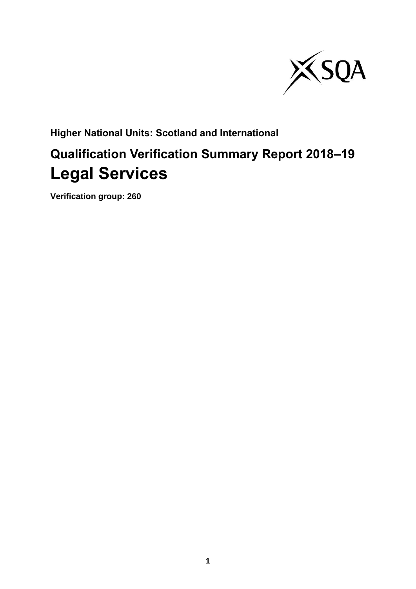

**Higher National Units: Scotland and International**

# **Qualification Verification Summary Report 2018–19 Legal Services**

**Verification group: 260**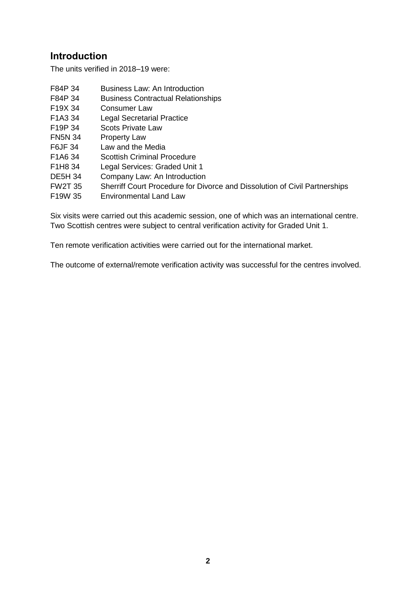## **Introduction**

The units verified in 2018–19 were:

| F84P 34                          | Business Law: An Introduction                                              |
|----------------------------------|----------------------------------------------------------------------------|
| F84P 34                          | <b>Business Contractual Relationships</b>                                  |
| F19X 34                          | <b>Consumer Law</b>                                                        |
| F <sub>1</sub> A <sub>3</sub> 34 | <b>Legal Secretarial Practice</b>                                          |
| F19P 34                          | <b>Scots Private Law</b>                                                   |
| <b>FN5N 34</b>                   | <b>Property Law</b>                                                        |
| F6JF 34                          | Law and the Media                                                          |
| F <sub>1</sub> A <sub>6</sub> 34 | <b>Scottish Criminal Procedure</b>                                         |
| F1H8 34                          | Legal Services: Graded Unit 1                                              |
| <b>DE5H 34</b>                   | Company Law: An Introduction                                               |
| <b>FW2T 35</b>                   | Sherriff Court Procedure for Divorce and Dissolution of Civil Partnerships |
| F <sub>19</sub> W 35             | <b>Environmental Land Law</b>                                              |
|                                  |                                                                            |

Six visits were carried out this academic session, one of which was an international centre. Two Scottish centres were subject to central verification activity for Graded Unit 1.

Ten remote verification activities were carried out for the international market.

The outcome of external/remote verification activity was successful for the centres involved.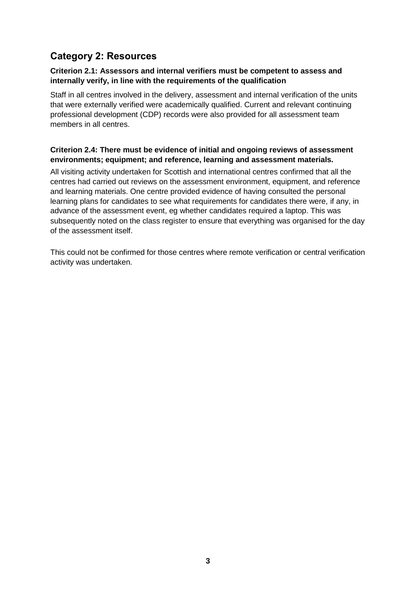## **Category 2: Resources**

#### **Criterion 2.1: Assessors and internal verifiers must be competent to assess and internally verify, in line with the requirements of the qualification**

Staff in all centres involved in the delivery, assessment and internal verification of the units that were externally verified were academically qualified. Current and relevant continuing professional development (CDP) records were also provided for all assessment team members in all centres.

### **Criterion 2.4: There must be evidence of initial and ongoing reviews of assessment environments; equipment; and reference, learning and assessment materials.**

All visiting activity undertaken for Scottish and international centres confirmed that all the centres had carried out reviews on the assessment environment, equipment, and reference and learning materials. One centre provided evidence of having consulted the personal learning plans for candidates to see what requirements for candidates there were, if any, in advance of the assessment event, eg whether candidates required a laptop. This was subsequently noted on the class register to ensure that everything was organised for the day of the assessment itself.

This could not be confirmed for those centres where remote verification or central verification activity was undertaken.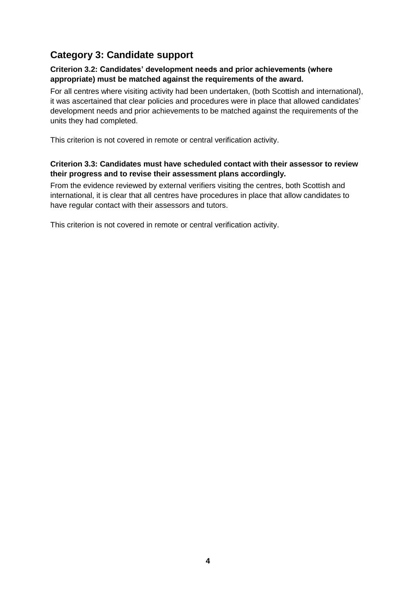## **Category 3: Candidate support**

#### **Criterion 3.2: Candidates' development needs and prior achievements (where appropriate) must be matched against the requirements of the award.**

For all centres where visiting activity had been undertaken, (both Scottish and international), it was ascertained that clear policies and procedures were in place that allowed candidates' development needs and prior achievements to be matched against the requirements of the units they had completed.

This criterion is not covered in remote or central verification activity.

### **Criterion 3.3: Candidates must have scheduled contact with their assessor to review their progress and to revise their assessment plans accordingly.**

From the evidence reviewed by external verifiers visiting the centres, both Scottish and international, it is clear that all centres have procedures in place that allow candidates to have regular contact with their assessors and tutors.

This criterion is not covered in remote or central verification activity.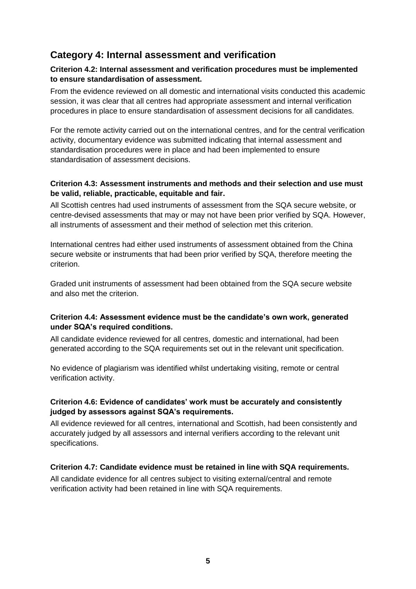## **Category 4: Internal assessment and verification**

#### **Criterion 4.2: Internal assessment and verification procedures must be implemented to ensure standardisation of assessment.**

From the evidence reviewed on all domestic and international visits conducted this academic session, it was clear that all centres had appropriate assessment and internal verification procedures in place to ensure standardisation of assessment decisions for all candidates.

For the remote activity carried out on the international centres, and for the central verification activity, documentary evidence was submitted indicating that internal assessment and standardisation procedures were in place and had been implemented to ensure standardisation of assessment decisions.

#### **Criterion 4.3: Assessment instruments and methods and their selection and use must be valid, reliable, practicable, equitable and fair.**

All Scottish centres had used instruments of assessment from the SQA secure website, or centre-devised assessments that may or may not have been prior verified by SQA. However, all instruments of assessment and their method of selection met this criterion.

International centres had either used instruments of assessment obtained from the China secure website or instruments that had been prior verified by SQA, therefore meeting the criterion.

Graded unit instruments of assessment had been obtained from the SQA secure website and also met the criterion.

### **Criterion 4.4: Assessment evidence must be the candidate's own work, generated under SQA's required conditions.**

All candidate evidence reviewed for all centres, domestic and international, had been generated according to the SQA requirements set out in the relevant unit specification.

No evidence of plagiarism was identified whilst undertaking visiting, remote or central verification activity.

### **Criterion 4.6: Evidence of candidates' work must be accurately and consistently judged by assessors against SQA's requirements.**

All evidence reviewed for all centres, international and Scottish, had been consistently and accurately judged by all assessors and internal verifiers according to the relevant unit specifications.

#### **Criterion 4.7: Candidate evidence must be retained in line with SQA requirements.**

All candidate evidence for all centres subject to visiting external/central and remote verification activity had been retained in line with SQA requirements.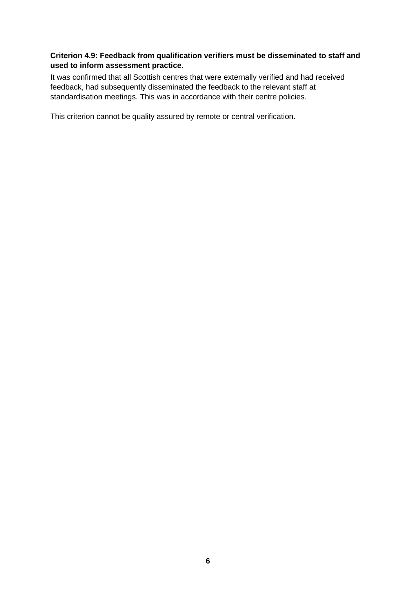### **Criterion 4.9: Feedback from qualification verifiers must be disseminated to staff and used to inform assessment practice.**

It was confirmed that all Scottish centres that were externally verified and had received feedback, had subsequently disseminated the feedback to the relevant staff at standardisation meetings. This was in accordance with their centre policies.

This criterion cannot be quality assured by remote or central verification.